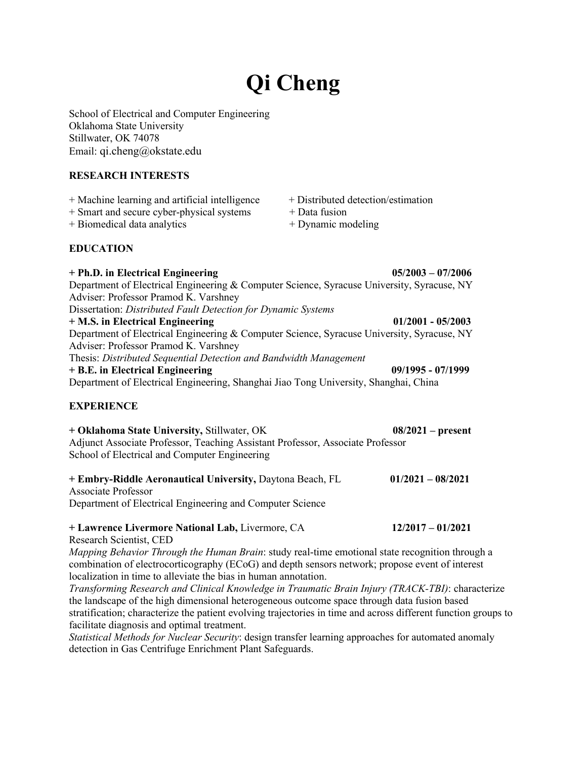# **Qi Cheng**

School of Electrical and Computer Engineering Oklahoma State University Stillwater, OK 74078 Email: qi.cheng@okstate.edu

#### **RESEARCH INTERESTS**

- + Machine learning and artificial intelligence + Distributed detection/estimation
- + Smart and secure cyber-physical systems + Data fusion

+ Biomedical data analytics + Dynamic modeling

# **EDUCATION**

# **+ Ph.D. in Electrical Engineering 05/2003 – 07/2006**  Department of Electrical Engineering & Computer Science, Syracuse University, Syracuse, NY Adviser: Professor Pramod K. Varshney Dissertation: *Distributed Fault Detection for Dynamic Systems* **+ M.S. in Electrical Engineering 01/2001 - 05/2003**  Department of Electrical Engineering & Computer Science, Syracuse University, Syracuse, NY Adviser: Professor Pramod K. Varshney Thesis: *Distributed Sequential Detection and Bandwidth Management* **+ B.E. in Electrical Engineering 09/1995 - 07/1999**  Department of Electrical Engineering, Shanghai Jiao Tong University, Shanghai, China **EXPERIENCE**

| + Oklahoma State University, Stillwater, OK                                    | $08/2021$ – present |
|--------------------------------------------------------------------------------|---------------------|
| Adjunct Associate Professor, Teaching Assistant Professor, Associate Professor |                     |
| School of Electrical and Computer Engineering                                  |                     |
|                                                                                |                     |

| + Embry-Riddle Aeronautical University, Daytona Beach, FL | $01/2021 - 08/2021$ |
|-----------------------------------------------------------|---------------------|
| Associate Professor                                       |                     |
| Department of Electrical Engineering and Computer Science |                     |

# **+ Lawrence Livermore National Lab,** Livermore, CA **12/2017 – 01/2021**

Research Scientist, CED

*Mapping Behavior Through the Human Brain*: study real-time emotional state recognition through a combination of electrocorticography (ECoG) and depth sensors network; propose event of interest localization in time to alleviate the bias in human annotation.

*Transforming Research and Clinical Knowledge in Traumatic Brain Injury (TRACK-TBI)*: characterize the landscape of the high dimensional heterogeneous outcome space through data fusion based stratification; characterize the patient evolving trajectories in time and across different function groups to facilitate diagnosis and optimal treatment.

*Statistical Methods for Nuclear Security*: design transfer learning approaches for automated anomaly detection in Gas Centrifuge Enrichment Plant Safeguards.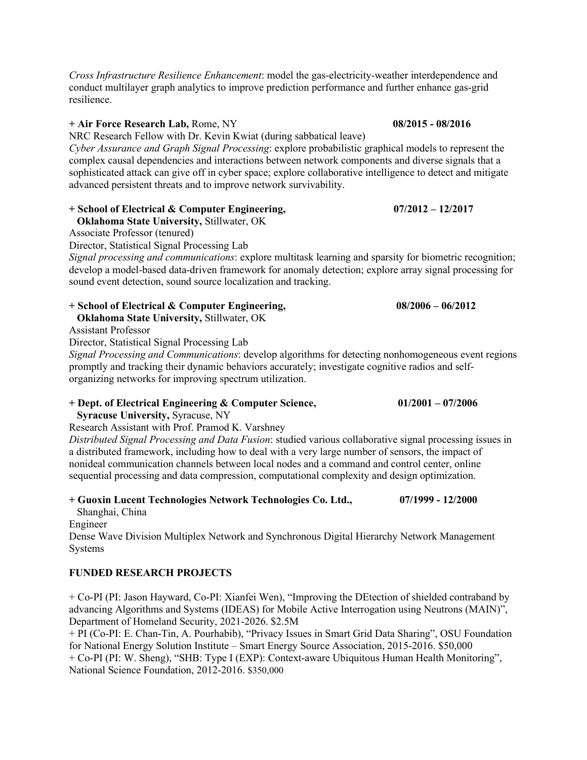*Cross Infrastructure Resilience Enhancement*: model the gas-electricity-weather interdependence and conduct multilayer graph analytics to improve prediction performance and further enhance gas-grid resilience.

#### **+ Air Force Research Lab,** Rome, NY **08/2015 - 08/2016**

NRC Research Fellow with Dr. Kevin Kwiat (during sabbatical leave)

*Cyber Assurance and Graph Signal Processing*: explore probabilistic graphical models to represent the complex causal dependencies and interactions between network components and diverse signals that a sophisticated attack can give off in cyber space; explore collaborative intelligence to detect and mitigate advanced persistent threats and to improve network survivability.

#### **+ School of Electrical & Computer Engineering, 07/2012 – 12/2017**

 **Oklahoma State University,** Stillwater, OK

Associate Professor (tenured)

Director, Statistical Signal Processing Lab

*Signal processing and communications*: explore multitask learning and sparsity for biometric recognition; develop a model-based data-driven framework for anomaly detection; explore array signal processing for sound event detection, sound source localization and tracking.

| $+$ School of Electrical & Computer Engineering, | $08/2006 - 06/2012$ |
|--------------------------------------------------|---------------------|
| <b>Oklahoma State University, Stillwater, OK</b> |                     |

Assistant Professor

Director, Statistical Signal Processing Lab

*Signal Processing and Communications*: develop algorithms for detecting nonhomogeneous event regions promptly and tracking their dynamic behaviors accurately; investigate cognitive radios and selforganizing networks for improving spectrum utilization.

#### **+ Dept. of Electrical Engineering & Computer Science, 01/2001 – 07/2006**

 **Syracuse University,** Syracuse, NY

Research Assistant with Prof. Pramod K. Varshney

*Distributed Signal Processing and Data Fusion*: studied various collaborative signal processing issues in a distributed framework, including how to deal with a very large number of sensors, the impact of nonideal communication channels between local nodes and a command and control center, online sequential processing and data compression, computational complexity and design optimization.

#### **+ Guoxin Lucent Technologies Network Technologies Co. Ltd., 07/1999 - 12/2000**

Shanghai, China

Engineer

Dense Wave Division Multiplex Network and Synchronous Digital Hierarchy Network Management Systems

#### **FUNDED RESEARCH PROJECTS**

+ Co-PI (PI: Jason Hayward, Co-PI: Xianfei Wen), "Improving the DEtection of shielded contraband by advancing Algorithms and Systems (IDEAS) for Mobile Active Interrogation using Neutrons (MAIN)", Department of Homeland Security, 2021-2026. \$2.5M

+ PI (Co-PI: E. Chan-Tin, A. Pourhabib), "Privacy Issues in Smart Grid Data Sharing", OSU Foundation for National Energy Solution Institute – Smart Energy Source Association, 2015-2016. \$50,000 + Co-PI (PI: W. Sheng), "SHB: Type I (EXP): Context-aware Ubiquitous Human Health Monitoring", National Science Foundation, 2012-2016. \$350,000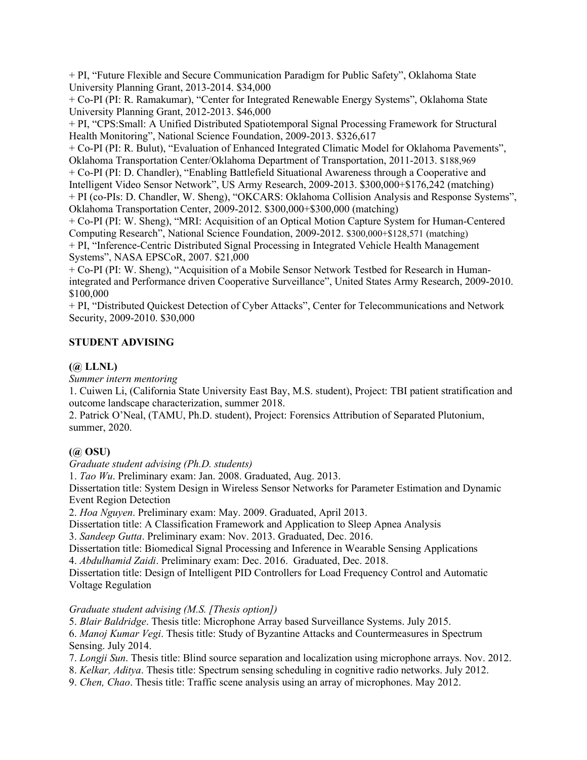+ PI, "Future Flexible and Secure Communication Paradigm for Public Safety", Oklahoma State University Planning Grant, 2013-2014. \$34,000

+ Co-PI (PI: R. Ramakumar), "Center for Integrated Renewable Energy Systems", Oklahoma State University Planning Grant, 2012-2013. \$46,000

+ PI, "CPS:Small: A Unified Distributed Spatiotemporal Signal Processing Framework for Structural Health Monitoring", National Science Foundation, 2009-2013. \$326,617

+ Co-PI (PI: R. Bulut), "Evaluation of Enhanced Integrated Climatic Model for Oklahoma Pavements", Oklahoma Transportation Center/Oklahoma Department of Transportation, 2011-2013. \$188,969

+ Co-PI (PI: D. Chandler), "Enabling Battlefield Situational Awareness through a Cooperative and

Intelligent Video Sensor Network", US Army Research, 2009-2013. \$300,000+\$176,242 (matching) + PI (co-PIs: D. Chandler, W. Sheng), "OKCARS: Oklahoma Collision Analysis and Response Systems",

Oklahoma Transportation Center, 2009-2012. \$300,000+\$300,000 (matching)

+ Co-PI (PI: W. Sheng), "MRI: Acquisition of an Optical Motion Capture System for Human-Centered Computing Research", National Science Foundation, 2009-2012. \$300,000+\$128,571 (matching)

+ PI, "Inference-Centric Distributed Signal Processing in Integrated Vehicle Health Management Systems", NASA EPSCoR, 2007. \$21,000

+ Co-PI (PI: W. Sheng), "Acquisition of a Mobile Sensor Network Testbed for Research in Humanintegrated and Performance driven Cooperative Surveillance", United States Army Research, 2009-2010. \$100,000

+ PI, "Distributed Quickest Detection of Cyber Attacks", Center for Telecommunications and Network Security, 2009-2010. \$30,000

# **STUDENT ADVISING**

# **(@ LLNL)**

*Summer intern mentoring*

1. Cuiwen Li, (California State University East Bay, M.S. student), Project: TBI patient stratification and outcome landscape characterization, summer 2018.

2. Patrick O'Neal, (TAMU, Ph.D. student), Project: Forensics Attribution of Separated Plutonium, summer, 2020.

# **(@ OSU)**

*Graduate student advising (Ph.D. students)* 

1. *Tao Wu*. Preliminary exam: Jan. 2008. Graduated, Aug. 2013.

Dissertation title: System Design in Wireless Sensor Networks for Parameter Estimation and Dynamic Event Region Detection

2. *Hoa Nguyen*. Preliminary exam: May. 2009. Graduated, April 2013.

Dissertation title: A Classification Framework and Application to Sleep Apnea Analysis

3. *Sandeep Gutta*. Preliminary exam: Nov. 2013. Graduated, Dec. 2016.

Dissertation title: Biomedical Signal Processing and Inference in Wearable Sensing Applications

4. *Abdulhamid Zaidi*. Preliminary exam: Dec. 2016. Graduated, Dec. 2018.

Dissertation title: Design of Intelligent PID Controllers for Load Frequency Control and Automatic Voltage Regulation

#### *Graduate student advising (M.S. [Thesis option])*

5. *Blair Baldridge*. Thesis title: Microphone Array based Surveillance Systems. July 2015.

6. *Manoj Kumar Vegi*. Thesis title: Study of Byzantine Attacks and Countermeasures in Spectrum Sensing. July 2014.

7. *Longji Sun*. Thesis title: Blind source separation and localization using microphone arrays. Nov. 2012.

8. *Kelkar, Aditya*. Thesis title: Spectrum sensing scheduling in cognitive radio networks. July 2012.

9. *Chen, Chao*. Thesis title: Traffic scene analysis using an array of microphones. May 2012.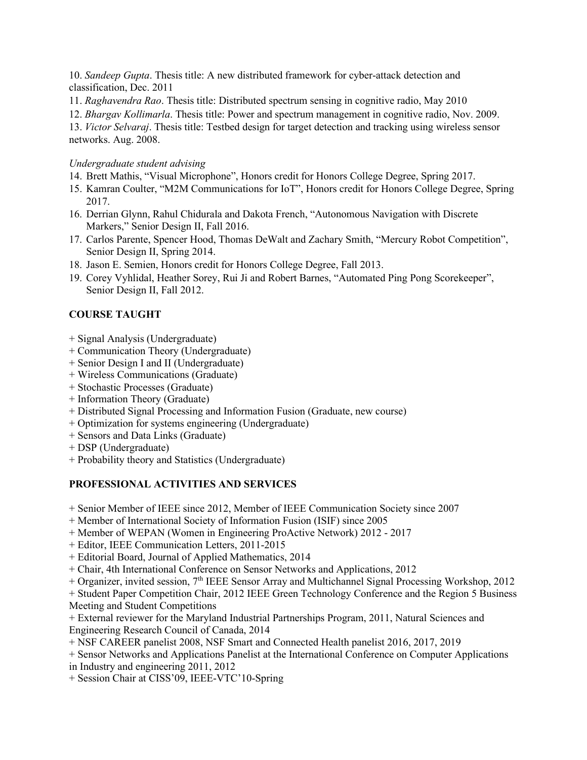10. *Sandeep Gupta*. Thesis title: A new distributed framework for cyber-attack detection and classification, Dec. 2011

11. *Raghavendra Rao*. Thesis title: Distributed spectrum sensing in cognitive radio, May 2010

12. *Bhargav Kollimarla*. Thesis title: Power and spectrum management in cognitive radio, Nov. 2009.

13. *Victor Selvaraj*. Thesis title: Testbed design for target detection and tracking using wireless sensor networks. Aug. 2008.

#### *Undergraduate student advising*

- 14. Brett Mathis, "Visual Microphone", Honors credit for Honors College Degree, Spring 2017.
- 15. Kamran Coulter, "M2M Communications for IoT", Honors credit for Honors College Degree, Spring 2017.
- 16. Derrian Glynn, Rahul Chidurala and Dakota French, "Autonomous Navigation with Discrete Markers," Senior Design II, Fall 2016.
- 17. Carlos Parente, Spencer Hood, Thomas DeWalt and Zachary Smith, "Mercury Robot Competition", Senior Design II, Spring 2014.
- 18. Jason E. Semien, Honors credit for Honors College Degree, Fall 2013.
- 19. Corey Vyhlidal, Heather Sorey, Rui Ji and Robert Barnes, "Automated Ping Pong Scorekeeper", Senior Design II, Fall 2012.

# **COURSE TAUGHT**

- + Signal Analysis (Undergraduate)
- + Communication Theory (Undergraduate)
- + Senior Design I and II (Undergraduate)
- + Wireless Communications (Graduate)
- + Stochastic Processes (Graduate)
- + Information Theory (Graduate)
- + Distributed Signal Processing and Information Fusion (Graduate, new course)
- + Optimization for systems engineering (Undergraduate)
- + Sensors and Data Links (Graduate)
- + DSP (Undergraduate)
- + Probability theory and Statistics (Undergraduate)

# **PROFESSIONAL ACTIVITIES AND SERVICES**

+ Senior Member of IEEE since 2012, Member of IEEE Communication Society since 2007

+ Member of International Society of Information Fusion (ISIF) since 2005

- + Member of WEPAN (Women in Engineering ProActive Network) 2012 2017
- + Editor, IEEE Communication Letters, 2011-2015
- + Editorial Board, Journal of Applied Mathematics, 2014
- + Chair, 4th International Conference on Sensor Networks and Applications, 2012
- + Organizer, invited session, 7th IEEE Sensor Array and Multichannel Signal Processing Workshop, 2012

+ Student Paper Competition Chair, 2012 IEEE Green Technology Conference and the Region 5 Business Meeting and Student Competitions

- + External reviewer for the Maryland Industrial Partnerships Program, 2011, Natural Sciences and Engineering Research Council of Canada, 2014
- + NSF CAREER panelist 2008, NSF Smart and Connected Health panelist 2016, 2017, 2019
- + Sensor Networks and Applications Panelist at the International Conference on Computer Applications

in Industry and engineering 2011, 2012

+ Session Chair at CISS'09, IEEE-VTC'10-Spring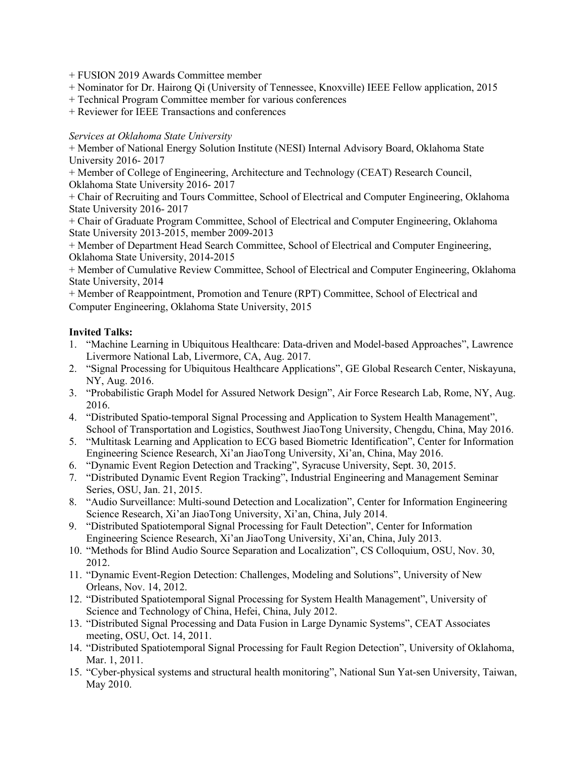- + FUSION 2019 Awards Committee member
- + Nominator for Dr. Hairong Qi (University of Tennessee, Knoxville) IEEE Fellow application, 2015
- + Technical Program Committee member for various conferences
- + Reviewer for IEEE Transactions and conferences

#### *Services at Oklahoma State University*

+ Member of National Energy Solution Institute (NESI) Internal Advisory Board, Oklahoma State University 2016- 2017

+ Member of College of Engineering, Architecture and Technology (CEAT) Research Council, Oklahoma State University 2016- 2017

+ Chair of Recruiting and Tours Committee, School of Electrical and Computer Engineering, Oklahoma State University 2016- 2017

+ Chair of Graduate Program Committee, School of Electrical and Computer Engineering, Oklahoma State University 2013-2015, member 2009-2013

+ Member of Department Head Search Committee, School of Electrical and Computer Engineering, Oklahoma State University, 2014-2015

+ Member of Cumulative Review Committee, School of Electrical and Computer Engineering, Oklahoma State University, 2014

+ Member of Reappointment, Promotion and Tenure (RPT) Committee, School of Electrical and Computer Engineering, Oklahoma State University, 2015

#### **Invited Talks:**

- 1. "Machine Learning in Ubiquitous Healthcare: Data-driven and Model-based Approaches", Lawrence Livermore National Lab, Livermore, CA, Aug. 2017.
- 2. "Signal Processing for Ubiquitous Healthcare Applications", GE Global Research Center, Niskayuna, NY, Aug. 2016.
- 3. "Probabilistic Graph Model for Assured Network Design", Air Force Research Lab, Rome, NY, Aug. 2016.
- 4. "Distributed Spatio-temporal Signal Processing and Application to System Health Management", School of Transportation and Logistics, Southwest JiaoTong University, Chengdu, China, May 2016.
- 5. "Multitask Learning and Application to ECG based Biometric Identification", Center for Information Engineering Science Research, Xi'an JiaoTong University, Xi'an, China, May 2016.
- 6. "Dynamic Event Region Detection and Tracking", Syracuse University, Sept. 30, 2015.
- 7. "Distributed Dynamic Event Region Tracking", Industrial Engineering and Management Seminar Series, OSU, Jan. 21, 2015.
- 8. "Audio Surveillance: Multi-sound Detection and Localization", Center for Information Engineering Science Research, Xi'an JiaoTong University, Xi'an, China, July 2014.
- 9. "Distributed Spatiotemporal Signal Processing for Fault Detection", Center for Information Engineering Science Research, Xi'an JiaoTong University, Xi'an, China, July 2013.
- 10. "Methods for Blind Audio Source Separation and Localization", CS Colloquium, OSU, Nov. 30, 2012.
- 11. "Dynamic Event-Region Detection: Challenges, Modeling and Solutions", University of New Orleans, Nov. 14, 2012.
- 12. "Distributed Spatiotemporal Signal Processing for System Health Management", University of Science and Technology of China, Hefei, China, July 2012.
- 13. "Distributed Signal Processing and Data Fusion in Large Dynamic Systems", CEAT Associates meeting, OSU, Oct. 14, 2011.
- 14. "Distributed Spatiotemporal Signal Processing for Fault Region Detection", University of Oklahoma, Mar. 1, 2011.
- 15. "Cyber-physical systems and structural health monitoring", National Sun Yat-sen University, Taiwan, May 2010.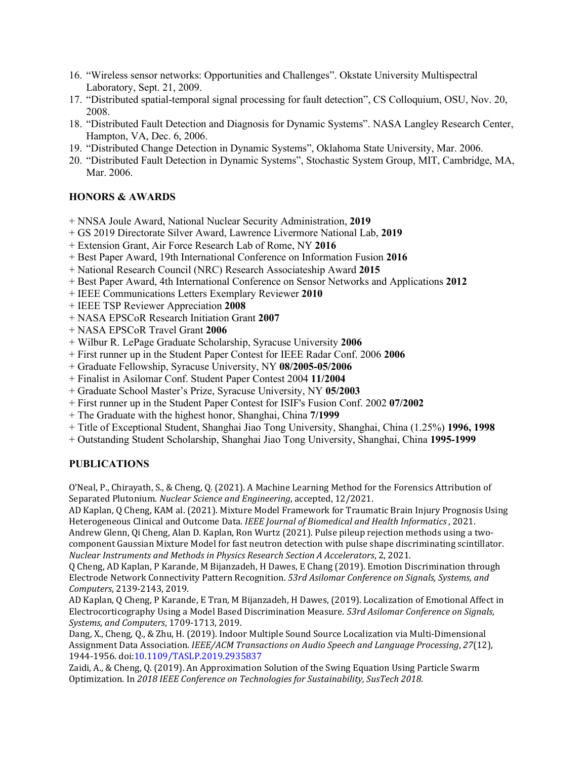- 16. "Wireless sensor networks: Opportunities and Challenges". Okstate University Multispectral Laboratory, Sept. 21, 2009.
- 17. "Distributed spatial-temporal signal processing for fault detection", CS Colloquium, OSU, Nov. 20, 2008.
- 18. "Distributed Fault Detection and Diagnosis for Dynamic Systems". NASA Langley Research Center, Hampton, VA, Dec. 6, 2006.
- 19. "Distributed Change Detection in Dynamic Systems", Oklahoma State University, Mar. 2006.
- 20. "Distributed Fault Detection in Dynamic Systems", Stochastic System Group, MIT, Cambridge, MA, Mar. 2006.

#### **HONORS & AWARDS**

- + NNSA Joule Award, National Nuclear Security Administration, **2019**
- + GS 2019 Directorate Silver Award, Lawrence Livermore National Lab, **2019**
- + Extension Grant, Air Force Research Lab of Rome, NY **2016**
- + Best Paper Award, 19th International Conference on Information Fusion **2016**
- + National Research Council (NRC) Research Associateship Award **2015**
- + Best Paper Award, 4th International Conference on Sensor Networks and Applications **2012**
- + IEEE Communications Letters Exemplary Reviewer **2010**
- + IEEE TSP Reviewer Appreciation **2008**
- + NASA EPSCoR Research Initiation Grant **2007**
- + NASA EPSCoR Travel Grant **2006**
- + Wilbur R. LePage Graduate Scholarship, Syracuse University **2006**
- + First runner up in the Student Paper Contest for IEEE Radar Conf. 2006 **2006**
- + Graduate Fellowship, Syracuse University, NY **08/2005-05/2006**
- + Finalist in Asilomar Conf. Student Paper Contest 2004 **11/2004**
- + Graduate School Master's Prize, Syracuse University, NY **05/2003**
- + First runner up in the Student Paper Contest for ISIF's Fusion Conf. 2002 **07/2002**
- + The Graduate with the highest honor, Shanghai, China **7/1999**
- + Title of Exceptional Student, Shanghai Jiao Tong University, Shanghai, China (1.25%) **1996, 1998**
- + Outstanding Student Scholarship, Shanghai Jiao Tong University, Shanghai, China **1995-1999**

#### **PUBLICATIONS**

O'Neal, P., Chirayath, S., & Cheng, Q. (2021). A Machine Learning Method for the Forensics Attribution of Separated Plutonium. *Nuclear Science and Engineering*, accepted, 12/2021.

AD Kaplan, Q Cheng, KAM al. (2021). Mixture Model Framework for Traumatic Brain Injury Prognosis Using Heterogeneous Clinical and Outcome Data. *IEEE Journal of Biomedical and Health Informatics*, 2021. Andrew Glenn, Qi Cheng, Alan D. Kaplan, Ron Wurtz (2021). Pulse pileup rejection methods using a twocomponent Gaussian Mixture Model for fast neutron detection with pulse shape discriminating scintillator. *Nuclear Instruments and Methods in Physics Research Section A Accelerators*, 2, 2021.

Q Cheng, AD Kaplan, P Karande, M Bijanzadeh, H Dawes, E Chang (2019). Emotion Discrimination through Electrode Network Connectivity Pattern Recognition. *53rd Asilomar Conference on Signals, Systems, and Computers*, 2139-2143, 2019.

AD Kaplan, Q Cheng, P Karande, E Tran, M Bijanzadeh, H Dawes, (2019). Localization of Emotional Affect in Electrocorticography Using a Model Based Discrimination Measure. *53rd Asilomar Conference on Signals, Systems, and Computers*, 1709-1713, 2019.

Dang, X., Cheng, Q., & Zhu, H. (2019). Indoor Multiple Sound Source Localization via Multi-Dimensional Assignment Data Association. *IEEE/ACM Transactions on Audio Speech and Language Processing*, *27*(12), 1944-1956. doi:10.1109/TASLP.2019.2935837

Zaidi, A., & Cheng, Q. (2019). An Approximation Solution of the Swing Equation Using Particle Swarm Optimization. In *2018 IEEE Conference on Technologies for Sustainability, SusTech 2018*.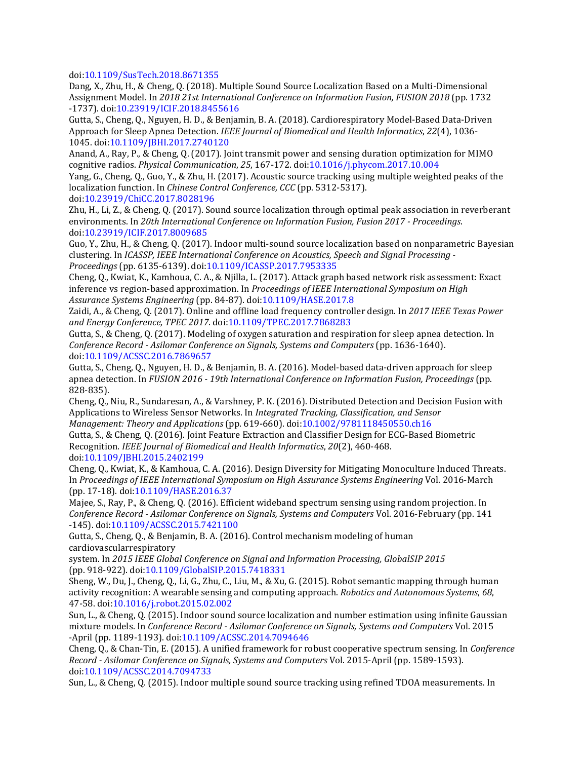doi:10.1109/SusTech.2018.8671355

Dang, X., Zhu, H., & Cheng, Q. (2018). Multiple Sound Source Localization Based on a Multi-Dimensional Assignment Model. In *2018 21st International Conference on Information Fusion, FUSION 2018* (pp. 1732 -1737). doi:10.23919/ICIF.2018.8455616

Gutta, S., Cheng, Q., Nguyen, H. D., & Benjamin, B. A. (2018). Cardiorespiratory Model-Based Data-Driven Approach for Sleep Apnea Detection. *IEEE Journal of Biomedical and Health Informatics*, *22*(4), 1036- 1045. doi:10.1109/JBHI.2017.2740120

Anand, A., Ray, P., & Cheng, Q. (2017). Joint transmit power and sensing duration optimization for MIMO cognitive radios. *Physical Communication*, *25*, 167-172. doi:10.1016/j.phycom.2017.10.004

Yang, G., Cheng, Q., Guo, Y., & Zhu, H. (2017). Acoustic source tracking using multiple weighted peaks of the localization function. In *Chinese Control Conference, CCC* (pp. 5312-5317).

doi:10.23919/ChiCC.2017.8028196

Zhu, H., Li, Z., & Cheng, Q. (2017). Sound source localization through optimal peak association in reverberant environments. In *20th International Conference on Information Fusion, Fusion 2017 - Proceedings*. doi:10.23919/ICIF.2017.8009685

Guo, Y., Zhu, H., & Cheng, Q. (2017). Indoor multi-sound source localization based on nonparametric Bayesian clustering. In *ICASSP, IEEE International Conference on Acoustics, Speech and Signal Processing - Proceedings* (pp. 6135-6139). doi:10.1109/ICASSP.2017.7953335

Cheng, Q., Kwiat, K., Kamhoua, C. A., & Njilla, L. (2017). Attack graph based network risk assessment: Exact inference vs region-based approximation. In *Proceedings of IEEE International Symposium on High Assurance Systems Engineering* (pp. 84-87). doi:10.1109/HASE.2017.8

Zaidi, A., & Cheng, Q. (2017). Online and offline load frequency controller design. In *2017 IEEE Texas Power and Energy Conference, TPEC 2017*. doi:10.1109/TPEC.2017.7868283

Gutta, S., & Cheng, Q. (2017). Modeling of oxygen saturation and respiration for sleep apnea detection. In *Conference Record - Asilomar Conference on Signals, Systems and Computers* (pp. 1636-1640). doi:10.1109/ACSSC.2016.7869657

Gutta, S., Cheng, Q., Nguyen, H. D., & Benjamin, B. A. (2016). Model-based data-driven approach for sleep apnea detection. In *FUSION 2016 - 19th International Conference on Information Fusion, Proceedings* (pp. 828-835).

Cheng, Q., Niu, R., Sundaresan, A., & Varshney, P. K. (2016). Distributed Detection and Decision Fusion with Applications to Wireless Sensor Networks. In *Integrated Tracking, Classification, and Sensor Management: Theory and Applications* (pp. 619-660). doi:10.1002/9781118450550.ch16

Gutta, S., & Cheng, Q. (2016). Joint Feature Extraction and Classifier Design for ECG-Based Biometric Recognition. *IEEE Journal of Biomedical and Health Informatics*, *20*(2), 460-468. doi:10.1109/JBHI.2015.2402199

Cheng, Q., Kwiat, K., & Kamhoua, C. A. (2016). Design Diversity for Mitigating Monoculture Induced Threats. In *Proceedings of IEEE International Symposium on High Assurance Systems Engineering* Vol. 2016-March (pp. 17-18). doi:10.1109/HASE.2016.37

Majee, S., Ray, P., & Cheng, Q. (2016). Efficient wideband spectrum sensing using random projection. In *Conference Record - Asilomar Conference on Signals, Systems and Computers* Vol. 2016-February (pp. 141 -145). doi:10.1109/ACSSC.2015.7421100

Gutta, S., Cheng, Q., & Benjamin, B. A. (2016). Control mechanism modeling of human cardiovascularrespiratory

system. In *2015 IEEE Global Conference on Signal and Information Processing, GlobalSIP 2015* (pp. 918-922). doi:10.1109/GlobalSIP.2015.7418331

Sheng, W., Du, J., Cheng, Q., Li, G., Zhu, C., Liu, M., & Xu, G. (2015). Robot semantic mapping through human activity recognition: A wearable sensing and computing approach. *Robotics and Autonomous Systems*, *68*, 47-58. doi:10.1016/j.robot.2015.02.002

Sun, L., & Cheng, Q. (2015). Indoor sound source localization and number estimation using infinite Gaussian mixture models. In *Conference Record - Asilomar Conference on Signals, Systems and Computers* Vol. 2015 -April (pp. 1189-1193). doi:10.1109/ACSSC.2014.7094646

Cheng, Q., & Chan-Tin, E. (2015). A unified framework for robust cooperative spectrum sensing. In *Conference Record - Asilomar Conference on Signals, Systems and Computers* Vol. 2015-April (pp. 1589-1593). doi:10.1109/ACSSC.2014.7094733

Sun, L., & Cheng, Q. (2015). Indoor multiple sound source tracking using refined TDOA measurements. In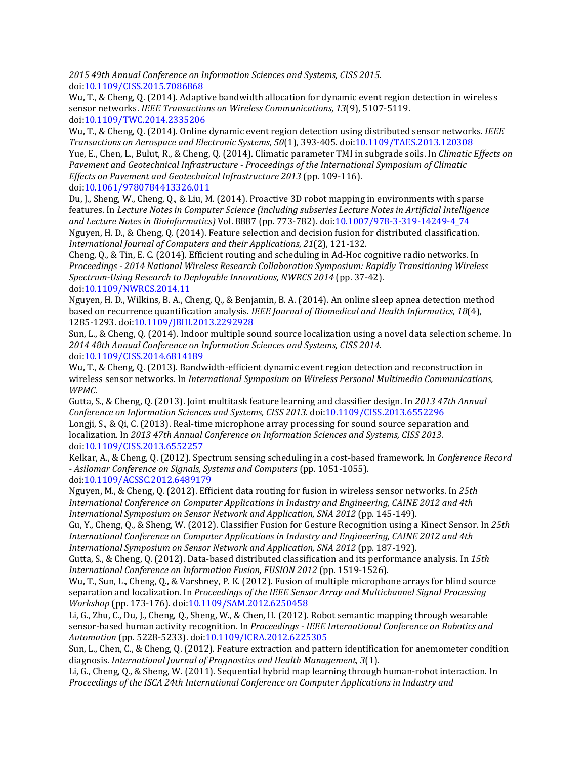*2015 49th Annual Conference on Information Sciences and Systems, CISS 2015*. doi:10.1109/CISS.2015.7086868

Wu, T., & Cheng, Q. (2014). Adaptive bandwidth allocation for dynamic event region detection in wireless sensor networks. *IEEE Transactions on Wireless Communications*, *13*(9), 5107-5119. doi:10.1109/TWC.2014.2335206

Wu, T., & Cheng, Q. (2014). Online dynamic event region detection using distributed sensor networks. *IEEE Transactions on Aerospace and Electronic Systems*, *50*(1), 393-405. doi:10.1109/TAES.2013.120308 Yue, E., Chen, L., Bulut, R., & Cheng, Q. (2014). Climatic parameter TMI in subgrade soils. In *Climatic Effects on Pavement and Geotechnical Infrastructure - Proceedings of the International Symposium of Climatic Effects on Pavement and Geotechnical Infrastructure 2013* (pp. 109-116).

doi:10.1061/9780784413326.011

Du, J., Sheng, W., Cheng, Q., & Liu, M. (2014). Proactive 3D robot mapping in environments with sparse features. In *Lecture Notes in Computer Science (including subseries Lecture Notes in Artificial Intelligence and Lecture Notes in Bioinformatics)* Vol. 8887 (pp. 773-782). doi:10.1007/978-3-319-14249-4\_74 Nguyen, H. D., & Cheng, Q. (2014). Feature selection and decision fusion for distributed classification. *International Journal of Computers and their Applications*, *21*(2), 121-132.

Cheng, Q., & Tin, E. C. (2014). Efficient routing and scheduling in Ad-Hoc cognitive radio networks. In *Proceedings - 2014 National Wireless Research Collaboration Symposium: Rapidly Transitioning Wireless Spectrum-Using Research to Deployable Innovations, NWRCS 2014* (pp. 37-42). doi:10.1109/NWRCS.2014.11

Nguyen, H. D., Wilkins, B. A., Cheng, Q., & Benjamin, B. A. (2014). An online sleep apnea detection method based on recurrence quantification analysis. *IEEE Journal of Biomedical and Health Informatics*, *18*(4), 1285-1293. doi:10.1109/JBHI.2013.2292928

Sun, L., & Cheng, Q. (2014). Indoor multiple sound source localization using a novel data selection scheme. In *2014 48th Annual Conference on Information Sciences and Systems, CISS 2014*. doi:10.1109/CISS.2014.6814189

Wu, T., & Cheng, Q. (2013). Bandwidth-efficient dynamic event region detection and reconstruction in wireless sensor networks. In *International Symposium on Wireless Personal Multimedia Communications, WPMC*.

Gutta, S., & Cheng, Q. (2013). Joint multitask feature learning and classifier design. In *2013 47th Annual Conference on Information Sciences and Systems, CISS 2013*. doi:10.1109/CISS.2013.6552296 Longji, S., & Qi, C. (2013). Real-time microphone array processing for sound source separation and localization. In *2013 47th Annual Conference on Information Sciences and Systems, CISS 2013*. doi:10.1109/CISS.2013.6552257

Kelkar, A., & Cheng, Q. (2012). Spectrum sensing scheduling in a cost-based framework. In *Conference Record - Asilomar Conference on Signals, Systems and Computers* (pp. 1051-1055). doi:10.1109/ACSSC.2012.6489179

Nguyen, M., & Cheng, Q. (2012). Efficient data routing for fusion in wireless sensor networks. In *25th International Conference on Computer Applications in Industry and Engineering, CAINE 2012 and 4th International Symposium on Sensor Network and Application, SNA 2012* (pp. 145-149).

Gu, Y., Cheng, Q., & Sheng, W. (2012). Classifier Fusion for Gesture Recognition using a Kinect Sensor. In *25th International Conference on Computer Applications in Industry and Engineering, CAINE 2012 and 4th International Symposium on Sensor Network and Application, SNA 2012* (pp. 187-192).

Gutta, S., & Cheng, Q. (2012). Data-based distributed classification and its performance analysis. In *15th International Conference on Information Fusion, FUSION 2012* (pp. 1519-1526).

Wu, T., Sun, L., Cheng, Q., & Varshney, P. K. (2012). Fusion of multiple microphone arrays for blind source separation and localization. In *Proceedings of the IEEE Sensor Array and Multichannel Signal Processing Workshop* (pp. 173-176). doi:10.1109/SAM.2012.6250458

Li, G., Zhu, C., Du, J., Cheng, Q., Sheng, W., & Chen, H. (2012). Robot semantic mapping through wearable sensor-based human activity recognition. In *Proceedings - IEEE International Conference on Robotics and Automation* (pp. 5228-5233). doi:10.1109/ICRA.2012.6225305

Sun, L., Chen, C., & Cheng, Q. (2012). Feature extraction and pattern identification for anemometer condition diagnosis. *International Journal of Prognostics and Health Management*, *3*(1).

Li, G., Cheng, Q., & Sheng, W. (2011). Sequential hybrid map learning through human-robot interaction. In *Proceedings of the ISCA 24th International Conference on Computer Applications in Industry and*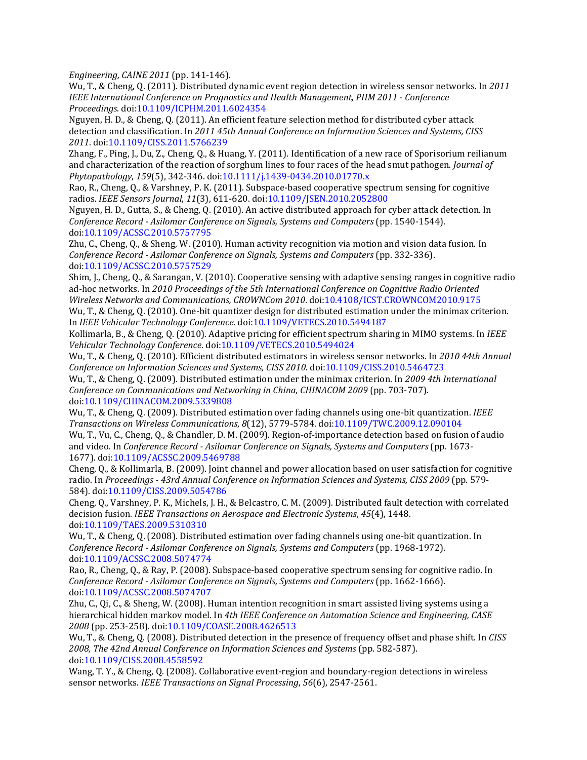*Engineering, CAINE 2011* (pp. 141-146).

Wu, T., & Cheng, Q. (2011). Distributed dynamic event region detection in wireless sensor networks. In *2011 IEEE International Conference on Prognostics and Health Management, PHM 2011 - Conference Proceedings*. doi:10.1109/ICPHM.2011.6024354

Nguyen, H. D., & Cheng, Q. (2011). An efficient feature selection method for distributed cyber attack detection and classification. In *2011 45th Annual Conference on Information Sciences and Systems, CISS 2011*. doi:10.1109/CISS.2011.5766239

Zhang, F., Ping, J., Du, Z., Cheng, Q., & Huang, Y. (2011). Identification of a new race of Sporisorium reilianum and characterization of the reaction of sorghum lines to four races of the head smut pathogen. *Journal of Phytopathology*, *159*(5), 342-346. doi:10.1111/j.1439-0434.2010.01770.x

Rao, R., Cheng, Q., & Varshney, P. K. (2011). Subspace-based cooperative spectrum sensing for cognitive radios. *IEEE Sensors Journal*, *11*(3), 611-620. doi:10.1109/JSEN.2010.2052800

Nguyen, H. D., Gutta, S., & Cheng, Q. (2010). An active distributed approach for cyber attack detection. In *Conference Record - Asilomar Conference on Signals, Systems and Computers* (pp. 1540-1544). doi:10.1109/ACSSC.2010.5757795

Zhu, C., Cheng, Q., & Sheng, W. (2010). Human activity recognition via motion and vision data fusion. In *Conference Record - Asilomar Conference on Signals, Systems and Computers* (pp. 332-336). doi:10.1109/ACSSC.2010.5757529

Shim, J., Cheng, Q., & Sarangan, V. (2010). Cooperative sensing with adaptive sensing ranges in cognitive radio ad-hoc networks. In *2010 Proceedings of the 5th International Conference on Cognitive Radio Oriented Wireless Networks and Communications, CROWNCom 2010*. doi:10.4108/ICST.CROWNCOM2010.9175

Wu, T., & Cheng, Q. (2010). One-bit quantizer design for distributed estimation under the minimax criterion. In *IEEE Vehicular Technology Conference*. doi:10.1109/VETECS.2010.5494187

Kollimarla, B., & Cheng, Q. (2010). Adaptive pricing for efficient spectrum sharing in MIMO systems. In *IEEE Vehicular Technology Conference*. doi:10.1109/VETECS.2010.5494024

Wu, T., & Cheng, Q. (2010). Efficient distributed estimators in wireless sensor networks. In *2010 44th Annual Conference on Information Sciences and Systems, CISS 2010*. doi:10.1109/CISS.2010.5464723

Wu, T., & Cheng, Q. (2009). Distributed estimation under the minimax criterion. In *2009 4th International Conference on Communications and Networking in China, CHINACOM 2009 (pp. 703-707).* doi:10.1109/CHINACOM.2009.5339808

Wu, T., & Cheng, Q. (2009). Distributed estimation over fading channels using one-bit quantization. *IEEE Transactions on Wireless Communications*, *8*(12), 5779-5784. doi:10.1109/TWC.2009.12.090104

Wu, T., Vu, C., Cheng, Q., & Chandler, D. M. (2009). Region-of-importance detection based on fusion of audio and video. In *Conference Record - Asilomar Conference on Signals, Systems and Computers* (pp. 1673- 1677). doi:10.1109/ACSSC.2009.5469788

Cheng, Q., & Kollimarla, B. (2009). Joint channel and power allocation based on user satisfaction for cognitive radio. In *Proceedings - 43rd Annual Conference on Information Sciences and Systems, CISS 2009* (pp. 579- 584). doi:10.1109/CISS.2009.5054786

Cheng, Q., Varshney, P. K., Michels, J. H., & Belcastro, C. M. (2009). Distributed fault detection with correlated decision fusion. *IEEE Transactions on Aerospace and Electronic Systems*, *45*(4), 1448. doi:10.1109/TAES.2009.5310310

Wu, T., & Cheng, Q. (2008). Distributed estimation over fading channels using one-bit quantization. In *Conference Record - Asilomar Conference on Signals, Systems and Computers (pp. 1968-1972).* doi:10.1109/ACSSC.2008.5074774

Rao, R., Cheng, Q., & Ray, P. (2008). Subspace-based cooperative spectrum sensing for cognitive radio. In *Conference Record - Asilomar Conference on Signals, Systems and Computers* (pp. 1662-1666). doi:10.1109/ACSSC.2008.5074707

Zhu, C., Qi, C., & Sheng, W. (2008). Human intention recognition in smart assisted living systems using a hierarchical hidden markov model. In *4th IEEE Conference on Automation Science and Engineering, CASE 2008* (pp. 253-258). doi:10.1109/COASE.2008.4626513

Wu, T., & Cheng, Q. (2008). Distributed detection in the presence of frequency offset and phase shift. In *CISS 2008, The 42nd Annual Conference on Information Sciences and Systems* (pp. 582-587). doi:10.1109/CISS.2008.4558592

Wang, T. Y., & Cheng, Q. (2008). Collaborative event-region and boundary-region detections in wireless sensor networks. *IEEE Transactions on Signal Processing*, *56*(6), 2547-2561.